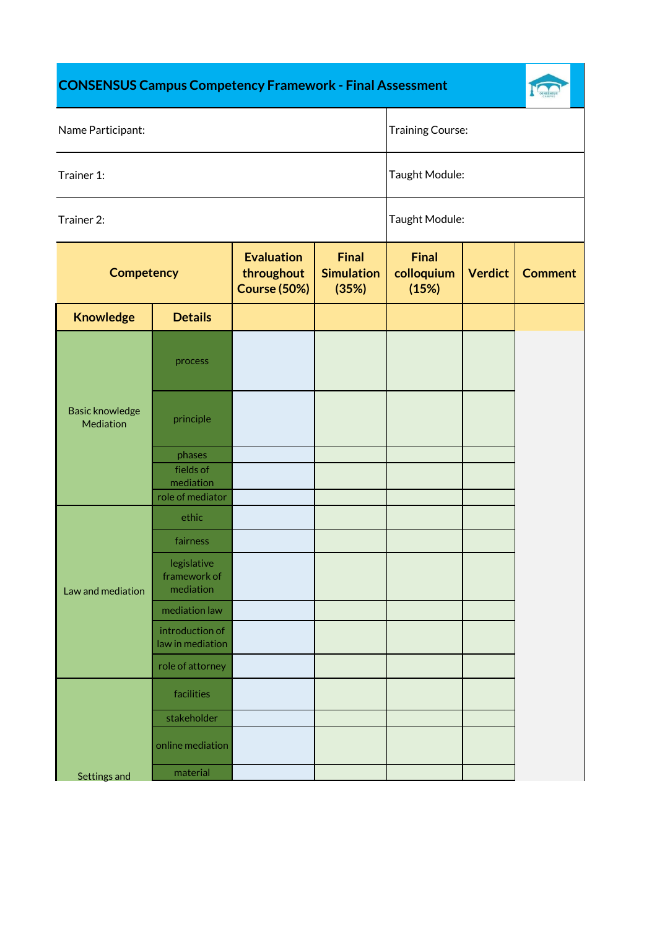## **CONSENSUS Campus Competency Framework - Final Assessment**



| Name Participant:                   |                                                      |                                                        |                                            | <b>Training Course:</b>             |                |                |
|-------------------------------------|------------------------------------------------------|--------------------------------------------------------|--------------------------------------------|-------------------------------------|----------------|----------------|
| Trainer 1:                          |                                                      |                                                        |                                            | Taught Module:                      |                |                |
| Trainer 2:                          |                                                      |                                                        | Taught Module:                             |                                     |                |                |
| <b>Competency</b>                   |                                                      | <b>Evaluation</b><br>throughout<br><b>Course (50%)</b> | <b>Final</b><br><b>Simulation</b><br>(35%) | <b>Final</b><br>colloquium<br>(15%) | <b>Verdict</b> | <b>Comment</b> |
| <b>Knowledge</b>                    | <b>Details</b>                                       |                                                        |                                            |                                     |                |                |
|                                     | process                                              |                                                        |                                            |                                     |                |                |
| <b>Basic knowledge</b><br>Mediation | principle                                            |                                                        |                                            |                                     |                |                |
|                                     | phases<br>fields of<br>mediation<br>role of mediator |                                                        |                                            |                                     |                |                |
|                                     | ethic                                                |                                                        |                                            |                                     |                |                |
| Law and mediation                   | fairness<br>legislative<br>framework of              |                                                        |                                            |                                     |                |                |
|                                     | mediation<br>mediation law                           |                                                        |                                            |                                     |                |                |
|                                     | introduction of<br>law in mediation                  |                                                        |                                            |                                     |                |                |
|                                     | role of attorney                                     |                                                        |                                            |                                     |                |                |
|                                     | facilities                                           |                                                        |                                            |                                     |                |                |
|                                     | stakeholder                                          |                                                        |                                            |                                     |                |                |
|                                     | online mediation                                     |                                                        |                                            |                                     |                |                |
| Settings and                        | material                                             |                                                        |                                            |                                     |                |                |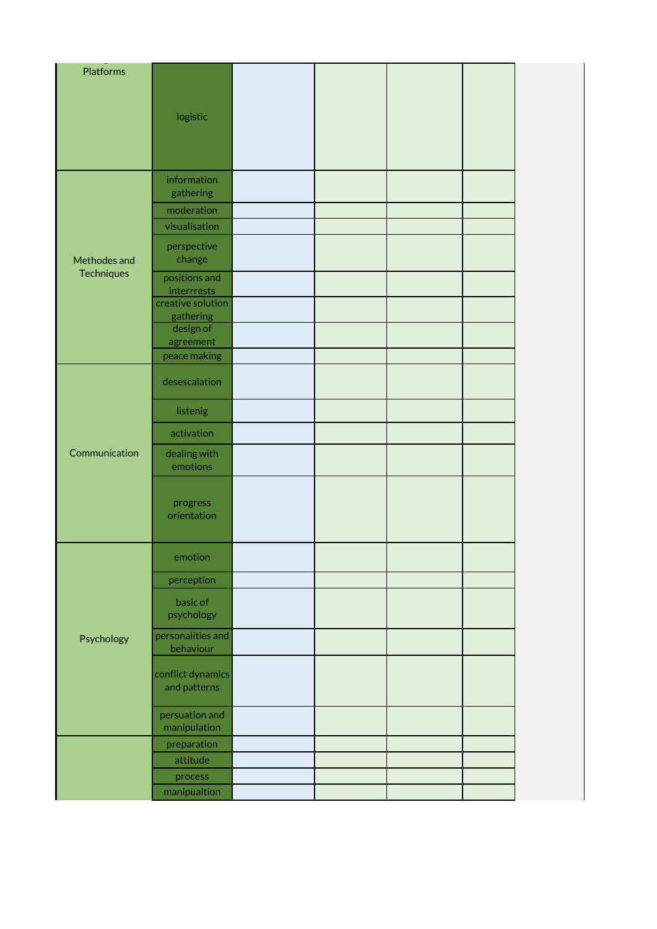| <b>Platforms</b> |                                   |  |  |  |
|------------------|-----------------------------------|--|--|--|
|                  | logistic                          |  |  |  |
|                  |                                   |  |  |  |
|                  | information<br>gathering          |  |  |  |
|                  | moderation                        |  |  |  |
|                  | visualisation                     |  |  |  |
| Methodes and     | perspective<br>change             |  |  |  |
| Techniques       | positions and<br>interrrests      |  |  |  |
|                  | creative solution<br>gathering    |  |  |  |
|                  | design of<br>agreement            |  |  |  |
|                  | peace making                      |  |  |  |
|                  | desescalation                     |  |  |  |
|                  | listenig                          |  |  |  |
|                  | activation                        |  |  |  |
| Communication    | dealing with<br>emotions          |  |  |  |
|                  | progress<br>orientation           |  |  |  |
|                  | emotion                           |  |  |  |
|                  | perception                        |  |  |  |
| Psychology       | basic of<br>psychology            |  |  |  |
|                  | personalities and<br>behaviour    |  |  |  |
|                  | conflict dynamics<br>and patterns |  |  |  |
|                  | persuation and<br>manipulation    |  |  |  |
|                  | preparation                       |  |  |  |
|                  | attitude                          |  |  |  |
|                  | process                           |  |  |  |
|                  | manipualtion                      |  |  |  |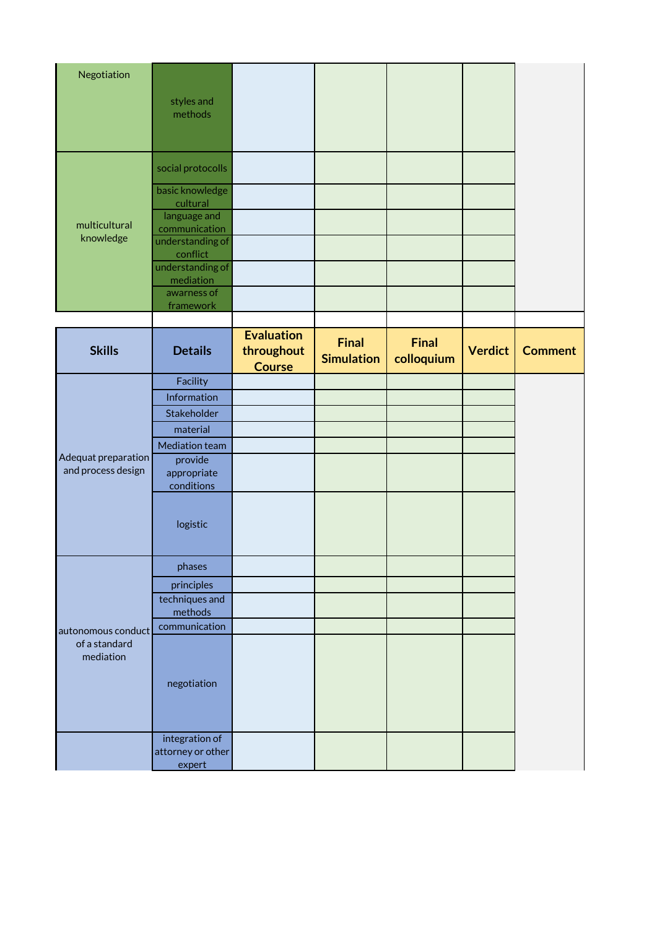| Negotiation                                      |                                     |                                                  |                                   |                            |                |                |
|--------------------------------------------------|-------------------------------------|--------------------------------------------------|-----------------------------------|----------------------------|----------------|----------------|
|                                                  | styles and<br>methods               |                                                  |                                   |                            |                |                |
|                                                  | social protocolls                   |                                                  |                                   |                            |                |                |
|                                                  | basic knowledge<br>cultural         |                                                  |                                   |                            |                |                |
| multicultural                                    | language and<br>communication       |                                                  |                                   |                            |                |                |
| knowledge                                        | understanding of<br>conflict        |                                                  |                                   |                            |                |                |
|                                                  | understanding of<br>mediation       |                                                  |                                   |                            |                |                |
|                                                  | awarness of<br>framework            |                                                  |                                   |                            |                |                |
|                                                  |                                     |                                                  |                                   |                            |                |                |
| <b>Skills</b>                                    | <b>Details</b>                      | <b>Evaluation</b><br>throughout<br><b>Course</b> | <b>Final</b><br><b>Simulation</b> | <b>Final</b><br>colloquium | <b>Verdict</b> | <b>Comment</b> |
|                                                  | Facility                            |                                                  |                                   |                            |                |                |
|                                                  | Information                         |                                                  |                                   |                            |                |                |
|                                                  | Stakeholder                         |                                                  |                                   |                            |                |                |
|                                                  | material                            |                                                  |                                   |                            |                |                |
| Adequat preparation                              | Mediation team<br>provide           |                                                  |                                   |                            |                |                |
| and process design                               | appropriate<br>conditions           |                                                  |                                   |                            |                |                |
|                                                  | logistic                            |                                                  |                                   |                            |                |                |
|                                                  | phases                              |                                                  |                                   |                            |                |                |
|                                                  | principles                          |                                                  |                                   |                            |                |                |
| autonomous conduct<br>of a standard<br>mediation | techniques and<br>methods           |                                                  |                                   |                            |                |                |
|                                                  | communication                       |                                                  |                                   |                            |                |                |
|                                                  | negotiation                         |                                                  |                                   |                            |                |                |
|                                                  | integration of<br>attorney or other |                                                  |                                   |                            |                |                |
|                                                  | expert                              |                                                  |                                   |                            |                |                |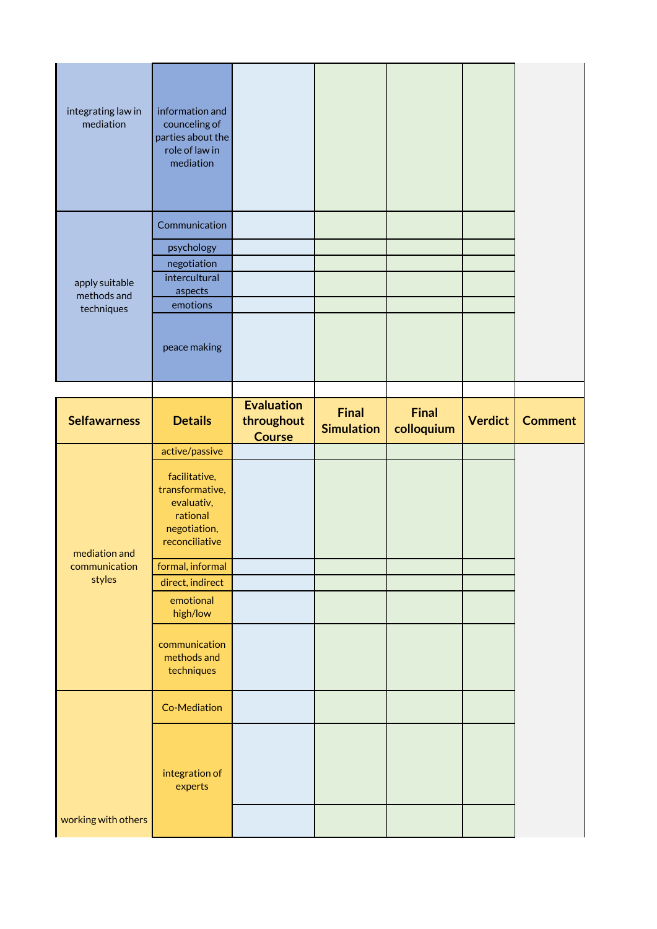| integrating law in<br>mediation             | information and<br>counceling of<br>parties about the<br>role of law in<br>mediation               |                                                  |                                   |                            |                |                |
|---------------------------------------------|----------------------------------------------------------------------------------------------------|--------------------------------------------------|-----------------------------------|----------------------------|----------------|----------------|
| apply suitable<br>methods and<br>techniques | Communication<br>psychology<br>negotiation<br>intercultural<br>aspects<br>emotions<br>peace making |                                                  |                                   |                            |                |                |
|                                             |                                                                                                    |                                                  |                                   |                            |                |                |
| <b>Selfawarness</b>                         | <b>Details</b>                                                                                     | <b>Evaluation</b><br>throughout<br><b>Course</b> | <b>Final</b><br><b>Simulation</b> | <b>Final</b><br>colloquium | <b>Verdict</b> | <b>Comment</b> |
|                                             | active/passive<br>facilitative,<br>transformative,<br>evaluativ,                                   |                                                  |                                   |                            |                |                |
|                                             | rational<br>negotiation,<br>reconciliative                                                         |                                                  |                                   |                            |                |                |
| mediation and<br>communication<br>styles    | formal, informal<br>direct, indirect<br>emotional                                                  |                                                  |                                   |                            |                |                |
|                                             | high/low<br>communication<br>methods and<br>techniques                                             |                                                  |                                   |                            |                |                |
|                                             | Co-Mediation                                                                                       |                                                  |                                   |                            |                |                |